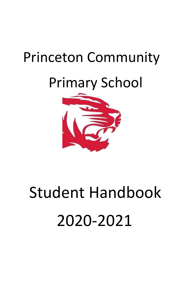# Princeton Community

# Primary School



# Student Handbook 2020-2021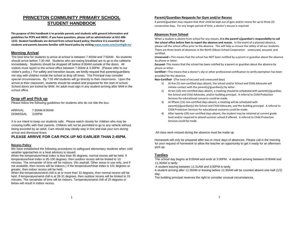# **PRINCETON COMMUNITY PRIMARY SCHOOL STUDENT HANDBOOK**

**The purpose of this handbook is to provide parents and students with general information and guidelines for PCPS and NGSC. If you have questions, please call an administrator at 812-386- 1222. Student handbooks are derived from school board policy; therefore it is essential that students and parents become familiar with board policy by visitin[g www.neola.com/northgib-in/](http://www.neola.com/northgib-in/)**

#### **Morning Arrival**

The best time for students to arrive at school is between 7:45AM and 7:50AM. No students should arrive before 7:30 AM. Students who are eating breakfast are to go to the cafeteria immediately. Students should be dropped off before 8:00AM outside of the doors. All visitors must report to the school office between 7:30AM & 3:30PM. (Please refer to our visitor's policy.) For safety and transition issues, we kindly request that parents/guardians not stay with children inside the school at drop off times. The Principal may consider special circumstances. By 7:55 AM students will go directly to their classrooms. Upon the arrival at their classroom, students should be seated and prepared for the start of school. School doors are locked by 8AM. An adult must sign in any student arriving after 8AM in the school office.

# **Drop off and Pick up**

Please follow the following guidelines for students who do not ride the bus:

ARRIVAL 7:30AM-8:00AM DISMISSAL 3:00PM

It is our intent to keep our students safe. Please watch closely for children who may be crossing traffic with their parents. Children will not be permitted to go to any vehicle without being escorted by an adult. Cars should stay ideally stay in line and wait your turn during arrival and dismissal times.

#### **PLEASE ARRIVE FOR CAR PICK-UP NO EARLIER THAN 2:45PM.**

#### **Recess Policy**

We have established the following procedures to safeguard elementary students when cold weather approaches or a heat advisory is issued:

When the temperature/Heat Index is less than 95 degrees, normal recess will be held. If temperature/heat Index is 95-100 degrees, then outdoor recess will be limited to 10 minutes. The remainder of time will be indoors. (No asphalt. Other areas in use only, and if not available, then recess will be indoors.) If the temperature/Heat Index is 101 degrees or greater, then indoor recess will be held.

When the temperature/wind chill is at or more than 32 degrees, then normal recess will be held. If temperature/wind chill is at 26-31 degrees, then outdoor recess will be limited to 15 minutes. The remainder of time will be indoors. Temperature/wind chill of 25 degrees or below will result in indoor recess.

#### **Parent/Guardian Requests for Gym and/or Recess**

A parent/guardian may request that their child be kept out of gym and/or recess for up to three (3) consecutive days. For any longer period of time, a doctor's excuse is required.

#### **Absences from School**

When a student is absent from school for any reason, **it is the parent's/guardian's responsibility to call the school office before 9am to report the absence and reason.** In the event of a planned absence, please call the school office prior to the absence. This will help us ensure the safety of all our students. There are three levels of absences in the North Gibson School Corporation: unexcused, excused, and certified.

**Unexcused—**This means that the school has NOT been notified by a parent or guardian about the absence by phone or letter.

**Excused-** This means that the school has been notified by a parent or guardian about the absence by phone or letter.

**Certified—**This means that a doctor's slip or other professional certification to verify exemption has been provided for the absence.

**Non-Certified- (**The total of excused and unexcused days)

- 1) At five (5) non-certified days absent, the school and/or School and Child Advocate will initiate contact with the parent(s)/guardian(s) by letter.
- 2) At ten (10) non-certified days absent, a meeting should be scheduled with parent(s)/guardian, the School and Child Advocate, and/or building principal. A referral to Child Protection Services for educational concerns could be made.
- 3) At fifteen (15) non-certified days absent, a meeting will be scheduled with parent(s)/guardian(s) the School and Child Advocate, and the building principal. A referral to Child Protection Services for educational concerns could be made.
- 4) After twenty (20) non-certified days absent, the student may be retained at current grade level and/or required to attend summer school if offered. A referral to Child Protection Services could be made.

All class work missed during the absence must be made up.

Homework will only be prepared after two or more days of absences. Please call in the morning for your request of homework to allow the teacher an opportunity to get it ready for an afternoon pick-up.

#### **Tardies**

The school day begins at 8:00AM and ends at 3:00PM. A student arriving between 8:00AM and 11:30AM is tardy.

A student leaving between 11:31AM and 3:00PM is tardy.

A student arriving after 11:30AM or leaving before 11:30AM will be counted absent one-half (1/2) day.

The building principal reserves the right to consider unusual circumstances.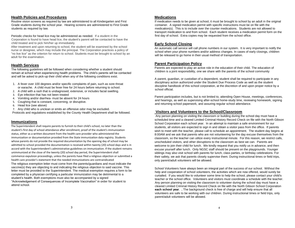#### **Health Policies and Procedures**

Routine vision screens as required by law are administered to all Kindergarten and First Grade students during the school year. Hearing screens are administered to First Grade students as required by law.

Periodic checks for head lice may be administered as needed. If a student in the Corporation is found to have head lice, the student's parent will be contacted to have the child treated and to pick him/her up immediately.

After treatment and upon returning to school, the student will be examined by the school nurse or designee, which may include the principal. The Corporation practices a policy of "no live lice" as the criterion for return to school. Students must be brought to school by an adult for the examination.

# **Health Services**

The following guidelines will be followed when considering whether a student should remain at school when experiencing health problems. The child's parents will be contacted and will be asked to pick-up their child when any of the following conditions exist.

- 1. A fever over 100 degrees and/or specific complaints of pain, such as sore throat or earache. A child must be fever free for 24 hours before returning to school.
- 2. A child with a rash that is undiagnosed, extensive, or includes facial swelling.
- 3. Eye infection that has not been treated
- 4. Vomiting and/or diarrhea- must be absent for 24 hours
- 5. Coughing that is constant, concerning, or disruptive.
- 6. Head lice (see above)
- 7. Any child who is unclean or emits an offensive odor may be excluded.

Protocols and regulations established by the County Health Department shall be followed.

#### **Immunizations**

The Superintendent shall require parents to furnish to their child's school, no later than the student's first day of school attendance after enrollment, proof of the student's immunization status, either as a written document from the health care provider who administered the immunization or documentation provided from the State immunization data registry. Students whose parents do not provide the required documentation by the opening day of school may be admitted to school provided the documentation is received within twenty (20) school days and is in accord with the Superintendent's administrative guidelines on immunization. If the student remains unimmunized at the close of the twenty (20) school day period, the Superintendent shall commence expulsion proceedings, unless the parents have filed a religious objection or submitted a health care provider's statement that the needed immunizations are contraindicated The religious exemption letter must come from the parents/guardians and must indicate the vaccine(s) they are objecting to and indicating the religious objection to said vaccine. This letter must be provided to the Superintendent. The medical exemption requires a form to be completed by a physician certifying a particular immunization may be detrimental to a student's health. Both exemptions must also be accompanied by a signed "Acknowledgement of Consequences of Incomplete Vaccination" in order for student to attend school.

#### **Medications**

If medication needs to be given at school, it must be brought to school by an adult in the original container. A signed medication permit with specific instructions must be on file with the medication(s). This is to include over the counter medications. Students are not allowed to transport medication to and from school. Each student receives a medication permit form on the first day of school. Extra copies may be requested from the school office.

#### **Early School Closing**

An automatic call service will call phone numbers in our system. It is very important to notify the school when your phone numbers and/or address changes. In cases of early closings, children will be released to go home in their usual method of transportation.

#### **Parent Participation Policy**

Parents are expected to play an active role in the education of their child. The education of children is a joint responsibility, one we share with the parents of the school community

A parent, guardian, or custodian of a dependent, student shall be required to participate in any disciplinary action authorized under the Student Due Process Code as well as the student discipline handbook of this school corporation, at the discretion of and upon proper notice by a school official.

Parent participation includes, but is not limited to, attending Open House, meetings, conferences, and hearings, as well as supervising after-school home-study time, reviewing homework, signing and returning school paperwork, and assuring regular school attendance.

#### **Visitors and Volunteers to the School/Classroom**

Any person planning on visiting the classroom or building during the school day must have a scheduled time and a cleared Limited Criminal History Record Check on file with the North Gibson School Corporation each school year. In an attempt to maintain a safe environment for our students, all visitors are expected to sign in and obtain a visitor pass from the office. If parents wish to meet with the teacher, please call to schedule an appointment. The student day begins at 8:00AM and we ask that parents who are not volunteering for the day excuse themselves from the classroom, so the teacher can utilize every instructional minute. For this reason, we restrict calls, unscheduled visitors, and other disruptions to the classroom as best we can. Parents are welcome to join their child for lunch. We kindly request that you notify us in advance, and then excuse yourself after lunch. Only NGSC staff should be present on the playgrounds. Younger siblings may also visit school with parents for lunch, class parties, or birthday celebrations. For their safety, we ask that parents closely supervise them. During instructional times or field trips, only parent/adult volunteers will be allowed.

School Volunteers have always been an integral part of the success of our school. Without the help and cooperation of school volunteers, the activities which are now offered, would surely be curtailed. If you would like to volunteer some time to help the school, please contact your child's teacher or the school office. Volunteers and visitors must coordinate a schedule with the teacher. Any person planning on visiting the classroom to volunteer during the school day must have a cleared Limited Criminal History Record Check on file with the North Gibson School Corporation **each school year**. **.** The background check is free of charge and will help ensure that all volunteers are safe to be working with our children. During instructional times or field trips, only parent/adult volunteers will be allowed.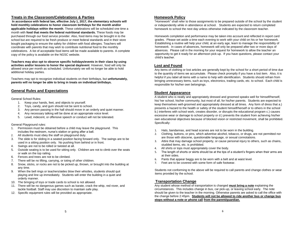#### **Treats in the Classroom/Celebrations & Parties**

**In accordance with federal law, effective July 1, 2017, the elementary schools will hold monthly celebrations to honor classroom birthdays for the month and/or applicable holidays within the month**. These celebrations will be scheduled one time a month with **food that meets the federal nutritional standards.** These foods may be purchased through our food service provider. Also, food items may be brought in to the school but are required to be fresh produce or meet federal standards and in their store bought packaging to ensure the safety for children with food allergies. Teachers will coordinate with parents that may wish to contribute nutritional food to the monthly celebrations. A list of acceptable food items will be made available to parents. A complete copy of the policy is available on the NGSC website.

**Teachers may also opt to observe specific holidays/events in their class by using activities and/or lessons to honor the special day/event**. However, food will only be allowed once per month as scheduled. Unfortunately we will no longer be able to hold additional holiday parties.

Teachers may opt to recognize individual students on their birthdays, but **unfortunately, parents will no longer be able to bring in treats on individual birthdays.** 

#### **General Rules and Expectations**

#### General School Rules:

- 1. Keep your hands, feet, and objects to yourself.
- 2. Toys, candy, and gum should not be sent to school.
- 3. Any person passing in the hall should move in an orderly and quiet manner.
- 4. Any necessary talking will be done at an appropriate voice level.
- 5. Lewd, indecent, or offensive speech or conduct will not be tolerated.

#### General Playground rules:

- 1. Permission must be obtained before a child may leave the playground. This includes the restroom, nurse's station or going after a ball.
- 2. All students must obey the staff on playground duty.
- 3. The slide is for sliding in a seated position facing forward only. The swings are to be used in a sitting position only. No pushing from behind or in front.
- 4. Swings are not to be rolled or twisted at all.
- 5. Outside seating is to be used for sitting only. Children are not to climb over the seats or walk on the top railing.
- 6. Fences and trees are not to be climbed.
- 7. There will be no lifting, carrying, or toting of other children.
- 8. Snow, sticks, or rocks are not to be picked up, thrown, or brought into the building at any time.
- 9. When the bell rings or teachers/aides blow their whistles, students should quit playing and line up immediately. Students will enter the building in a quiet and orderly manner.
- 10. The bringing of toys or trade cards to school is not allowed.
- 11. There will be no dangerous games such as karate, crack the whip, red rover, and tackle football. Staff may use discretion to maintain safe play.
- 12. Specific equipment rules will be provided as appropriate.

#### **Homework Policy**

"Homework" shall refer to those assignments to be prepared outside of the school by the student or independently while in attendance at school. Students are expected to return completed homework to school the next day unless otherwise indicated by the classroom teacher.

Homework completion and performance may be taken into account and reflected in report card grades. Please set aside a time each evening to work with your child on his or her homework. Establishing a routine will help your child, at an early age, learn to manage the responsibility of homework. In cases of absences, homework will only be prepared after two or more days of absences. Please call in the morning for your request for homework to allow the teacher an opportunity to get it ready for an afternoon pick-up. If you have questions, please contact your child's teacher.

# **Lost and Found**

Any items of clothing or lost articles are generally kept by the school for a short period of time due to the quantity of items we accumulate. Please check promptly if you have a lost item. Also, it is helpful if you label all items with a name to help with identification. Students should refrain from bringing unnecessary items, such as toys, electronics, trading cards, etc. to school. Each child is responsible for his/her own belongings.

#### **Student Appearance**

A student who is neatly and appropriately dressed and groomed speaks well for himself/herself, his/ her school, his/her community, but most of all, for his/her parents. Students are expected to keep themselves well-groomed and appropriately dressed at all times. Any form of dress that a.) presents a hazard to the health or safety of the student himself/herself or to others in the school b.) interferes with school work, creates disorder, or disrupts the educational program c.) causes excessive wear or damage to school property or d.) prevents the student from achieving his/her own educational objectives because of blocked vision or restricted movement, shall be prohibited. Specifically:

- 1. Hats, bandannas, and head scarves are not to be worn in the building.
- 2. Clothing, buttons, or pins, which advertise alcohol, tobacco, or drugs, are not permitted nor are those with obscene, questionable language, or sexual connotations.
- 3. Attire that may damage school property, or cause personal injury to others, such as chains, studded items, etc. is prohibited.
- 4. All shirts or tops must appropriately cover the body.
- 5. The length of shorts or skirts should be at the tips of a student's fingers when their arms are at their sides.
- 6. Pants that appear baggy are to be worn with a belt and at waist level.
- 7. Feet are to be covered with some form of safe footwear.

Students not conforming to the above will be required to call parents and change clothes or wear items provided by the school.

#### **Transportation Change**

Any student whose method of transportation is changed **must bring a note** explaining the circumstances. This includes change in bus, car pick-up, or leaving school early. The note should be given to the teacher in the morning. Otherwise parents are asked to call the office with the change before 2:45pm. **Students will not be allowed to ride another bus or change bus stops without a note or phone call from the parent/guardian.**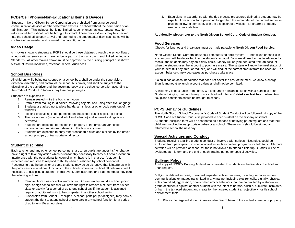# **PCDs/Cell Phones**/**Non-Educational Items & Devices**

Students in North Gibson School Corporation are prohibited from using personal communication devices or other electronic devices in school without the permission of an administrator. This includes, but is not limited to, cell phones, tablets, laptops, etc. Noneducational items should not be brought to school. These devices/items may be checked into the school office upon arrival and returned to the student after dismissal. Items will be confiscated as needed and returned to a parent/guardian.

# **Video Usage**

All movies shown to students at PCPS should be those obtained through the school library or educational services and are to be a part of the curriculum and linked to Indiana Standards. All other movies shown must be approved by the building principal or if shown outside of instructional time, rated for General Audiences.

# **School Bus Rules**

All children, while being transported on a school bus, shall be under the supervision, direction, discretion, and control of the school bus driver, and shall be subject to the discipline of the bus driver and the governing body of the school corporation according to the Code of Conduct. Students may lose bus privileges.

Students are expected to:

- 1. Remain seated while the bus is in motion.
- 2. Refrain from making loud noises, throwing objects, and using offensive language.
- 3. Students are asked not to place hands, arms, legs or other body parts out of the windows.
- 4. Fighting or scuffling is not permitted on the school bus or at pick-up points.
- 5. The use of drugs (includes alcohol and tobacco) and look-a-like drugs is not permitted.
- 6. Students are expected to respect the property of the driver and/or school corporation and refrain from damaging the bus in any way.
- 7. Students are expected to obey other reasonable rules and outlines by the driver, school principal, or transportation director.

#### **Student Discipline**

Each teacher and any other school personnel shall, when pupils are under his/her charge, have a right to take any action which is reasonably necessary to carry out or to prevent an interference with the educational function of which he/she is in charge. A student is expected and required to respond truthfully when questioned by school personnel. Recognizing that the behavior of some students may be so disruptive that it interferes with the purposes or educational functions of the school corporation, school officials may find it necessary to discipline a student. In this event, administrators and staff members may take the following actions:

- 1. Removal from class or activity—Teacher: An elementary, middle school, junior high, or high school teacher will have the right to remove a student from his/her class or activity for a period of up to one school day if the student is assigned regular or additional work to be completed in another school setting.
- 2. Suspension from School—Principal: A school principal (or designee) may deny a student the right to attend school or take part in any school function for a period of up to ten (10) school days.

3. Expulsion: In accordance with the due process procedures defined, a student may be expelled from school for a period no longer than the remainder of the current semester plus the following semester, with the exception of a violation for firearms or deadly weapons per state law.

#### **Additionally, please refer to the North Gibson School Corp. Code of Student Conduct.**

#### **Food Services**

Checks for lunches and breakfasts must be made payable to **North Gibson Food Service.**

North Gibson School Corporation uses a computerized debit system. Funds (cash or checks in any amount) will be deposited into the student's account. You are allowed to pay in advance for meals, and students may pay on a daily basis. Money will only be deducted from an account when the student uses the account to purchase meals. The system will know the meal status of your student (full-pay, free, or reduced) and will deduct the correct amount from the account. The account balance simply decreases as purchases take place.

If a child has an account balance that does not cover the cost of the meal, we allow a charge. Significant negative lunch account balances shall not be permitted.

A child may bring a lunch from home. We encourage a balanced lunch with a nutritious drink Students bringing their lunch may buy a school milk. **No soft drinks or fast food.** Absolutely NO glass containers should be brought to school.

#### **PCPS Behavior Guidelines**

The North Gibson School Corporation's Code of Student Conduct will be followed. A copy of the NGSC Code of Student Conduct is provided to each student on the first day of school. A Student Discipline form will be sent home as a means of notifying parents/guardians that their child was involved in inappropriate behavior at school. These forms should be signed and returned to school the next day.

#### **Special Activities and Conduct**

Students receiving a failing grade in conduct or involved with serious misconduct could be excluded from participating in special activities such as parties, programs, or field trips. Alternate activities will be provided at school for those not allowed to attend a field trip. Grades will be reevaluated at midterm and the end of each grading period for special activities.

# **Bullying Policy**

A full copy of NGSC's Bullying Addendum is provided to students on the first day of school and upon request.

Bullying is defined as overt, unwanted, repeated acts or gestures, including verbal or written communications or images transmitted in any manner including electronically, digitally, physical acts committed, aggression, or any other similar behaviors that are committed by a student or group of students against another student with the intent to harass, ridicule, humiliate, intimidate, or harm the targeted student and create for the targeted student an objectively hostile school environment that:

1. Places the targeted student in reasonable fear of harm to the student's person or property.